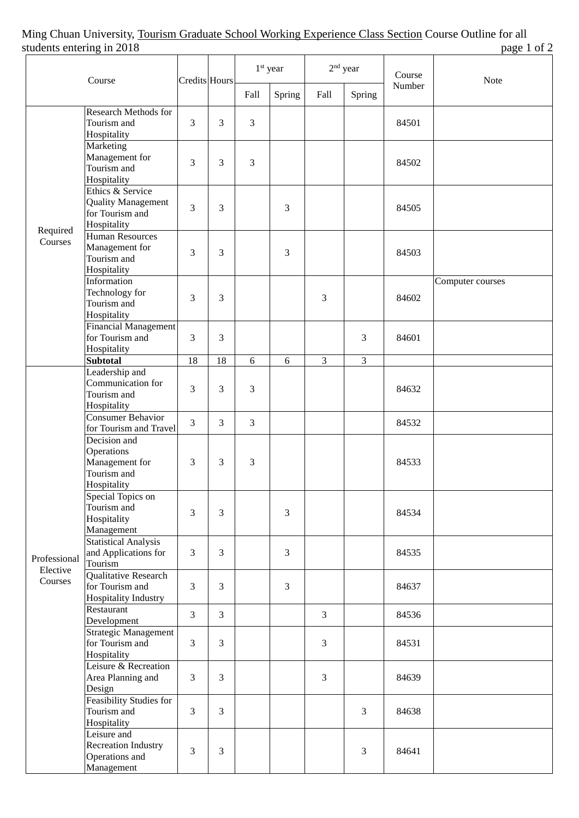## Ming Chuan University, <u>Tourism Graduate School Working Experience Class Section</u> Course Outline for all students entering in 2018 students entering in 2018

| staatho thithing<br>$\cdots$ = $\cdots$<br>Course |                                                                                 | <b>Credits Hours</b> |                | 1 <sup>st</sup> year |                | $2nd$ year     |                | Course | $F^{\mu}S^{\nu}$ $\cdots$<br>Note |
|---------------------------------------------------|---------------------------------------------------------------------------------|----------------------|----------------|----------------------|----------------|----------------|----------------|--------|-----------------------------------|
|                                                   |                                                                                 |                      |                | Fall                 | Spring         | Fall           | Spring         | Number |                                   |
| Required<br>Courses                               | <b>Research Methods for</b><br>Tourism and<br>Hospitality                       | 3                    | 3              | $\mathfrak{Z}$       |                |                |                | 84501  |                                   |
|                                                   | Marketing<br>Management for<br>Tourism and<br>Hospitality                       | 3                    | $\overline{3}$ | $\overline{3}$       |                |                |                | 84502  |                                   |
|                                                   | Ethics & Service<br><b>Quality Management</b><br>for Tourism and<br>Hospitality | 3                    | 3              |                      | $\overline{3}$ |                |                | 84505  |                                   |
|                                                   | <b>Human Resources</b><br>Management for<br>Tourism and<br>Hospitality          | 3                    | $\overline{3}$ |                      | $\mathfrak{Z}$ |                |                | 84503  |                                   |
|                                                   | Information<br>Technology for<br>Tourism and<br>Hospitality                     | 3                    | 3              |                      |                | 3              |                | 84602  | Computer courses                  |
|                                                   | <b>Financial Management</b><br>for Tourism and<br>Hospitality                   | $\overline{3}$       | $\overline{3}$ |                      |                |                | $\overline{3}$ | 84601  |                                   |
|                                                   | <b>Subtotal</b>                                                                 | 18                   | 18             | 6                    | 6              | 3              | 3              |        |                                   |
| Professional<br>Elective<br>Courses               | Leadership and<br>Communication for<br>Tourism and<br>Hospitality               | 3                    | 3              | 3                    |                |                |                | 84632  |                                   |
|                                                   | Consumer Behavior<br>for Tourism and Travel                                     | $\overline{3}$       | $\overline{3}$ | $\mathfrak{Z}$       |                |                |                | 84532  |                                   |
|                                                   | Decision and<br>Operations<br>Management for<br>Tourism and<br>Hospitality      | 3                    | $\mathfrak{Z}$ | 3                    |                |                |                | 84533  |                                   |
|                                                   | Special Topics on<br>Tourism and<br>Hospitality<br>Management                   | 3                    | $\mathfrak{Z}$ |                      | $\mathfrak{Z}$ |                |                | 84534  |                                   |
|                                                   | <b>Statistical Analysis</b><br>and Applications for<br>Tourism                  | 3                    | $\overline{3}$ |                      | $\overline{3}$ |                |                | 84535  |                                   |
|                                                   | Qualitative Research<br>for Tourism and<br>Hospitality Industry                 | 3                    | $\mathfrak{Z}$ |                      | $\mathfrak{Z}$ |                |                | 84637  |                                   |
|                                                   | Restaurant<br>Development                                                       | $\overline{3}$       | $\overline{3}$ |                      |                | $\mathfrak{Z}$ |                | 84536  |                                   |
|                                                   | <b>Strategic Management</b><br>for Tourism and<br>Hospitality                   | 3                    | $\mathfrak{Z}$ |                      |                | $\mathfrak{Z}$ |                | 84531  |                                   |
|                                                   | Leisure & Recreation<br>Area Planning and<br>Design                             | $\mathfrak{Z}$       | 3              |                      |                | 3              |                | 84639  |                                   |
|                                                   | <b>Feasibility Studies for</b><br>Tourism and<br>Hospitality                    | $\mathfrak{Z}$       | $\mathfrak{Z}$ |                      |                |                | 3              | 84638  |                                   |
|                                                   | Leisure and<br><b>Recreation Industry</b><br>Operations and<br>Management       | 3                    | $\overline{3}$ |                      |                |                | $\mathfrak{Z}$ | 84641  |                                   |